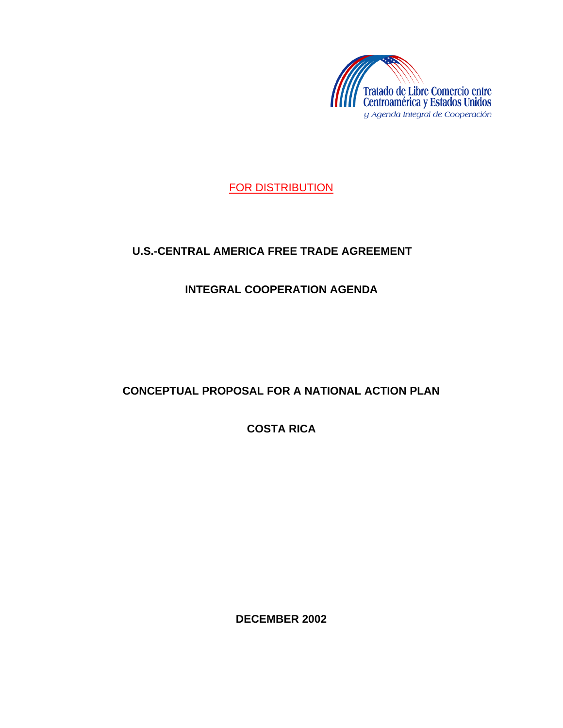

FOR DISTRIBUTION

# **U.S.-CENTRAL AMERICA FREE TRADE AGREEMENT**

**INTEGRAL COOPERATION AGENDA**

# **CONCEPTUAL PROPOSAL FOR A NATIONAL ACTION PLAN**

**COSTA RICA**

**DECEMBER 2002**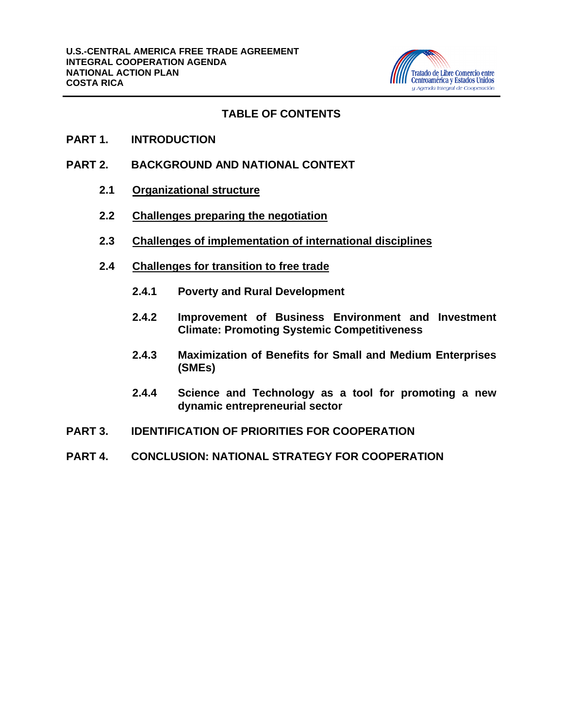

### **TABLE OF CONTENTS**

- **PART 1. INTRODUCTION**
- **PART 2. BACKGROUND AND NATIONAL CONTEXT** 
	- **2.1 Organizational structure**
	- **2.2 Challenges preparing the negotiation**
	- **2.3 Challenges of implementation of international disciplines**
	- **2.4 Challenges for transition to free trade**
		- **2.4.1 Poverty and Rural Development**
		- **2.4.2 Improvement of Business Environment and Investment Climate: Promoting Systemic Competitiveness**
		- **2.4.3 Maximization of Benefits for Small and Medium Enterprises (SMEs)**
		- **2.4.4 Science and Technology as a tool for promoting a new dynamic entrepreneurial sector**
- **PART 3. IDENTIFICATION OF PRIORITIES FOR COOPERATION**
- **PART 4. CONCLUSION: NATIONAL STRATEGY FOR COOPERATION**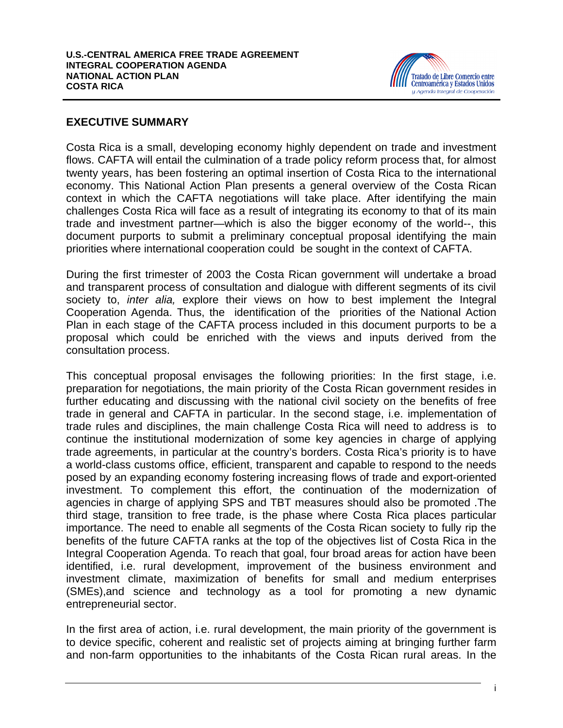

### **EXECUTIVE SUMMARY**

Costa Rica is a small, developing economy highly dependent on trade and investment flows. CAFTA will entail the culmination of a trade policy reform process that, for almost twenty years, has been fostering an optimal insertion of Costa Rica to the international economy. This National Action Plan presents a general overview of the Costa Rican context in which the CAFTA negotiations will take place. After identifying the main challenges Costa Rica will face as a result of integrating its economy to that of its main trade and investment partner—which is also the bigger economy of the world--, this document purports to submit a preliminary conceptual proposal identifying the main priorities where international cooperation could be sought in the context of CAFTA.

During the first trimester of 2003 the Costa Rican government will undertake a broad and transparent process of consultation and dialogue with different segments of its civil society to, *inter alia,* explore their views on how to best implement the Integral Cooperation Agenda. Thus, the identification of the priorities of the National Action Plan in each stage of the CAFTA process included in this document purports to be a proposal which could be enriched with the views and inputs derived from the consultation process.

This conceptual proposal envisages the following priorities: In the first stage, i.e. preparation for negotiations, the main priority of the Costa Rican government resides in further educating and discussing with the national civil society on the benefits of free trade in general and CAFTA in particular. In the second stage, i.e. implementation of trade rules and disciplines, the main challenge Costa Rica will need to address is to continue the institutional modernization of some key agencies in charge of applying trade agreements, in particular at the country's borders. Costa Rica's priority is to have a world-class customs office, efficient, transparent and capable to respond to the needs posed by an expanding economy fostering increasing flows of trade and export-oriented investment. To complement this effort, the continuation of the modernization of agencies in charge of applying SPS and TBT measures should also be promoted .The third stage, transition to free trade, is the phase where Costa Rica places particular importance. The need to enable all segments of the Costa Rican society to fully rip the benefits of the future CAFTA ranks at the top of the objectives list of Costa Rica in the Integral Cooperation Agenda. To reach that goal, four broad areas for action have been identified, i.e. rural development, improvement of the business environment and investment climate, maximization of benefits for small and medium enterprises (SMEs),and science and technology as a tool for promoting a new dynamic entrepreneurial sector.

In the first area of action, i.e. rural development, the main priority of the government is to device specific, coherent and realistic set of projects aiming at bringing further farm and non-farm opportunities to the inhabitants of the Costa Rican rural areas. In the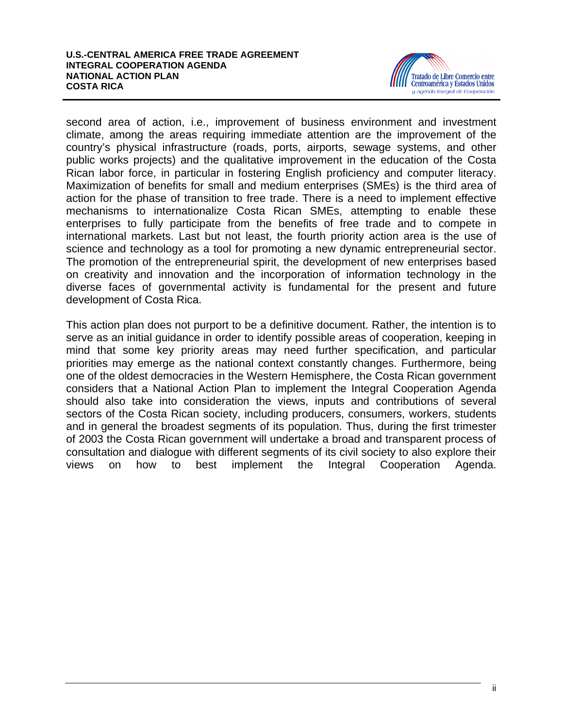

second area of action, i.e., improvement of business environment and investment climate, among the areas requiring immediate attention are the improvement of the country's physical infrastructure (roads, ports, airports, sewage systems, and other public works projects) and the qualitative improvement in the education of the Costa Rican labor force, in particular in fostering English proficiency and computer literacy. Maximization of benefits for small and medium enterprises (SMEs) is the third area of action for the phase of transition to free trade. There is a need to implement effective mechanisms to internationalize Costa Rican SMEs, attempting to enable these enterprises to fully participate from the benefits of free trade and to compete in international markets. Last but not least, the fourth priority action area is the use of science and technology as a tool for promoting a new dynamic entrepreneurial sector. The promotion of the entrepreneurial spirit, the development of new enterprises based on creativity and innovation and the incorporation of information technology in the diverse faces of governmental activity is fundamental for the present and future development of Costa Rica.

This action plan does not purport to be a definitive document. Rather, the intention is to serve as an initial guidance in order to identify possible areas of cooperation, keeping in mind that some key priority areas may need further specification, and particular priorities may emerge as the national context constantly changes. Furthermore, being one of the oldest democracies in the Western Hemisphere, the Costa Rican government considers that a National Action Plan to implement the Integral Cooperation Agenda should also take into consideration the views, inputs and contributions of several sectors of the Costa Rican society, including producers, consumers, workers, students and in general the broadest segments of its population. Thus, during the first trimester of 2003 the Costa Rican government will undertake a broad and transparent process of consultation and dialogue with different segments of its civil society to also explore their views on how to best implement the Integral Cooperation Agenda.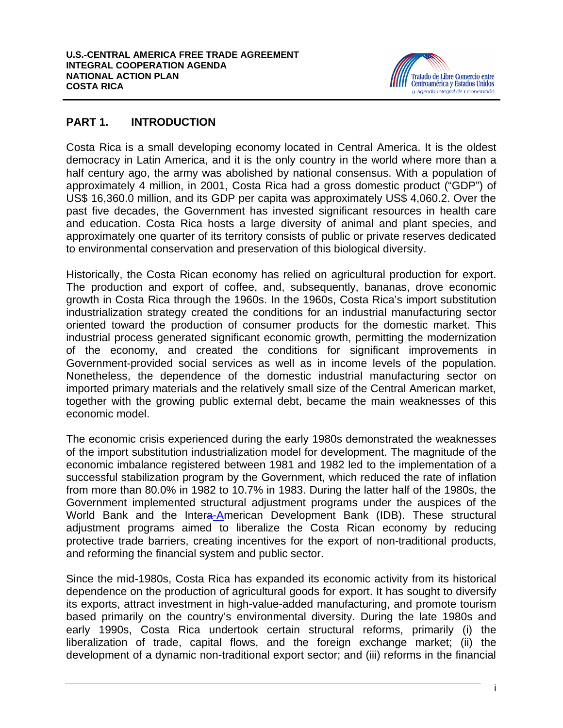

### **PART 1. INTRODUCTION**

Costa Rica is a small developing economy located in Central America. It is the oldest democracy in Latin America, and it is the only country in the world where more than a half century ago, the army was abolished by national consensus. With a population of approximately 4 million, in 2001, Costa Rica had a gross domestic product ("GDP") of US\$ 16,360.0 million, and its GDP per capita was approximately US\$ 4,060.2. Over the past five decades, the Government has invested significant resources in health care and education. Costa Rica hosts a large diversity of animal and plant species, and approximately one quarter of its territory consists of public or private reserves dedicated to environmental conservation and preservation of this biological diversity.

Historically, the Costa Rican economy has relied on agricultural production for export. The production and export of coffee, and, subsequently, bananas, drove economic growth in Costa Rica through the 1960s. In the 1960s, Costa Rica's import substitution industrialization strategy created the conditions for an industrial manufacturing sector oriented toward the production of consumer products for the domestic market. This industrial process generated significant economic growth, permitting the modernization of the economy, and created the conditions for significant improvements in Government-provided social services as well as in income levels of the population. Nonetheless, the dependence of the domestic industrial manufacturing sector on imported primary materials and the relatively small size of the Central American market, together with the growing public external debt, became the main weaknesses of this economic model.

The economic crisis experienced during the early 1980s demonstrated the weaknesses of the import substitution industrialization model for development. The magnitude of the economic imbalance registered between 1981 and 1982 led to the implementation of a successful stabilization program by the Government, which reduced the rate of inflation from more than 80.0% in 1982 to 10.7% in 1983. During the latter half of the 1980s, the Government implemented structural adjustment programs under the auspices of the World Bank and the Intera-American Development Bank (IDB). These structural adjustment programs aimed to liberalize the Costa Rican economy by reducing protective trade barriers, creating incentives for the export of non-traditional products, and reforming the financial system and public sector.

Since the mid-1980s, Costa Rica has expanded its economic activity from its historical dependence on the production of agricultural goods for export. It has sought to diversify its exports, attract investment in high-value-added manufacturing, and promote tourism based primarily on the country's environmental diversity. During the late 1980s and early 1990s, Costa Rica undertook certain structural reforms, primarily (i) the liberalization of trade, capital flows, and the foreign exchange market; (ii) the development of a dynamic non-traditional export sector; and (iii) reforms in the financial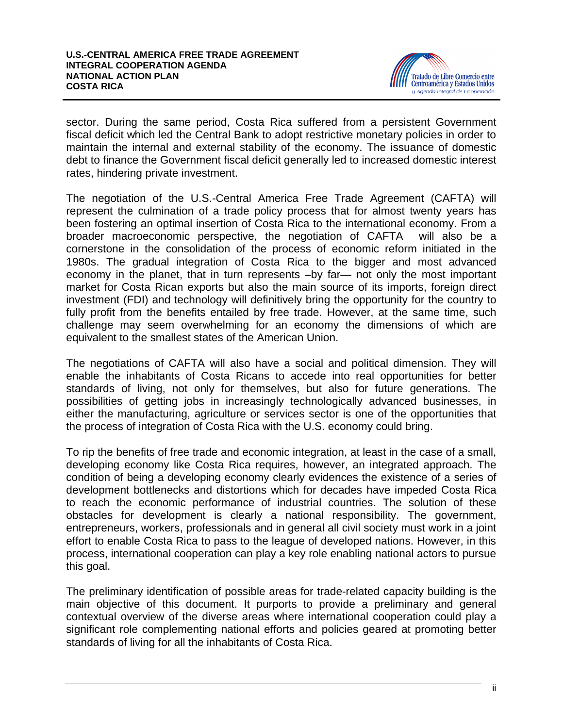

sector. During the same period, Costa Rica suffered from a persistent Government fiscal deficit which led the Central Bank to adopt restrictive monetary policies in order to maintain the internal and external stability of the economy. The issuance of domestic debt to finance the Government fiscal deficit generally led to increased domestic interest rates, hindering private investment.

The negotiation of the U.S.-Central America Free Trade Agreement (CAFTA) will represent the culmination of a trade policy process that for almost twenty years has been fostering an optimal insertion of Costa Rica to the international economy. From a broader macroeconomic perspective, the negotiation of CAFTA will also be a cornerstone in the consolidation of the process of economic reform initiated in the 1980s. The gradual integration of Costa Rica to the bigger and most advanced economy in the planet, that in turn represents –by far— not only the most important market for Costa Rican exports but also the main source of its imports, foreign direct investment (FDI) and technology will definitively bring the opportunity for the country to fully profit from the benefits entailed by free trade. However, at the same time, such challenge may seem overwhelming for an economy the dimensions of which are equivalent to the smallest states of the American Union.

The negotiations of CAFTA will also have a social and political dimension. They will enable the inhabitants of Costa Ricans to accede into real opportunities for better standards of living, not only for themselves, but also for future generations. The possibilities of getting jobs in increasingly technologically advanced businesses, in either the manufacturing, agriculture or services sector is one of the opportunities that the process of integration of Costa Rica with the U.S. economy could bring.

To rip the benefits of free trade and economic integration, at least in the case of a small, developing economy like Costa Rica requires, however, an integrated approach. The condition of being a developing economy clearly evidences the existence of a series of development bottlenecks and distortions which for decades have impeded Costa Rica to reach the economic performance of industrial countries. The solution of these obstacles for development is clearly a national responsibility. The government, entrepreneurs, workers, professionals and in general all civil society must work in a joint effort to enable Costa Rica to pass to the league of developed nations. However, in this process, international cooperation can play a key role enabling national actors to pursue this goal.

The preliminary identification of possible areas for trade-related capacity building is the main objective of this document. It purports to provide a preliminary and general contextual overview of the diverse areas where international cooperation could play a significant role complementing national efforts and policies geared at promoting better standards of living for all the inhabitants of Costa Rica.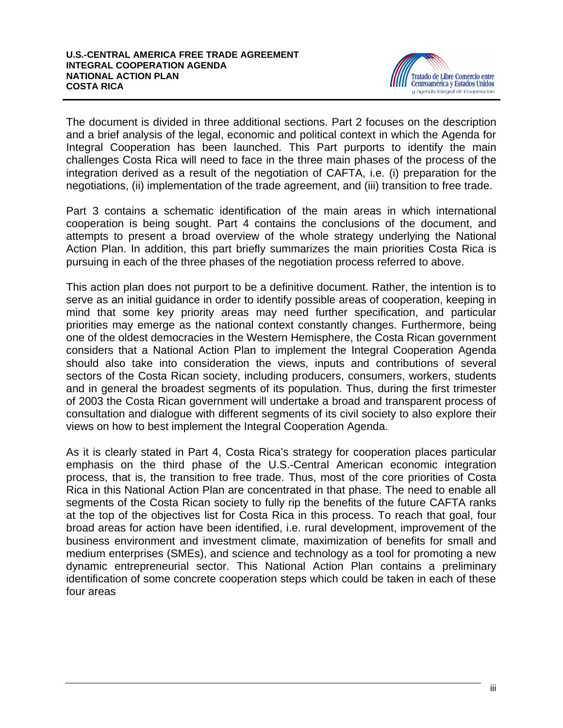

The document is divided in three additional sections. Part 2 focuses on the description and a brief analysis of the legal, economic and political context in which the Agenda for Integral Cooperation has been launched. This Part purports to identify the main challenges Costa Rica will need to face in the three main phases of the process of the integration derived as a result of the negotiation of CAFTA, i.e. (i) preparation for the negotiations, (ii) implementation of the trade agreement, and (iii) transition to free trade.

Part 3 contains a schematic identification of the main areas in which international cooperation is being sought. Part 4 contains the conclusions of the document, and attempts to present a broad overview of the whole strategy underlying the National Action Plan. In addition, this part briefly summarizes the main priorities Costa Rica is pursuing in each of the three phases of the negotiation process referred to above.

This action plan does not purport to be a definitive document. Rather, the intention is to serve as an initial guidance in order to identify possible areas of cooperation, keeping in mind that some key priority areas may need further specification, and particular priorities may emerge as the national context constantly changes. Furthermore, being one of the oldest democracies in the Western Hemisphere, the Costa Rican government considers that a National Action Plan to implement the Integral Cooperation Agenda should also take into consideration the views, inputs and contributions of several sectors of the Costa Rican society, including producers, consumers, workers, students and in general the broadest segments of its population. Thus, during the first trimester of 2003 the Costa Rican government will undertake a broad and transparent process of consultation and dialogue with different segments of its civil society to also explore their views on how to best implement the Integral Cooperation Agenda.

As it is clearly stated in Part 4, Costa Rica's strategy for cooperation places particular emphasis on the third phase of the U.S.-Central American economic integration process, that is, the transition to free trade. Thus, most of the core priorities of Costa Rica in this National Action Plan are concentrated in that phase. The need to enable all segments of the Costa Rican society to fully rip the benefits of the future CAFTA ranks at the top of the objectives list for Costa Rica in this process. To reach that goal, four broad areas for action have been identified, i.e. rural development, improvement of the business environment and investment climate, maximization of benefits for small and medium enterprises (SMEs), and science and technology as a tool for promoting a new dynamic entrepreneurial sector. This National Action Plan contains a preliminary identification of some concrete cooperation steps which could be taken in each of these four areas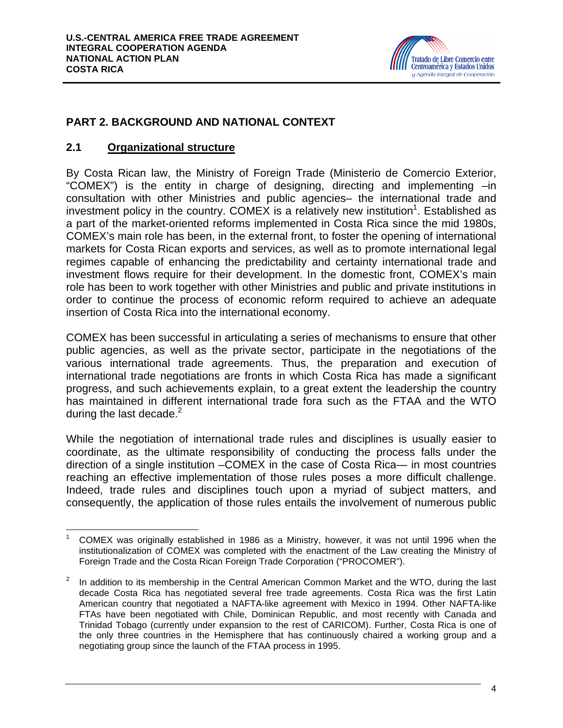

# **PART 2. BACKGROUND AND NATIONAL CONTEXT**

#### **2.1 Organizational structure**

By Costa Rican law, the Ministry of Foreign Trade (Ministerio de Comercio Exterior, "COMEX") is the entity in charge of designing, directing and implementing –in consultation with other Ministries and public agencies– the international trade and investment policy in the country. COMEX is a relatively new institution<sup>1</sup>. Established as a part of the market-oriented reforms implemented in Costa Rica since the mid 1980s, COMEX's main role has been, in the external front, to foster the opening of international markets for Costa Rican exports and services, as well as to promote international legal regimes capable of enhancing the predictability and certainty international trade and investment flows require for their development. In the domestic front, COMEX's main role has been to work together with other Ministries and public and private institutions in order to continue the process of economic reform required to achieve an adequate insertion of Costa Rica into the international economy.

COMEX has been successful in articulating a series of mechanisms to ensure that other public agencies, as well as the private sector, participate in the negotiations of the various international trade agreements. Thus, the preparation and execution of international trade negotiations are fronts in which Costa Rica has made a significant progress, and such achievements explain, to a great extent the leadership the country has maintained in different international trade fora such as the FTAA and the WTO during the last decade. $2$ 

While the negotiation of international trade rules and disciplines is usually easier to coordinate, as the ultimate responsibility of conducting the process falls under the direction of a single institution –COMEX in the case of Costa Rica— in most countries reaching an effective implementation of those rules poses a more difficult challenge. Indeed, trade rules and disciplines touch upon a myriad of subject matters, and consequently, the application of those rules entails the involvement of numerous public

 $\overline{a}$ <sup>1</sup> COMEX was originally established in 1986 as a Ministry, however, it was not until 1996 when the institutionalization of COMEX was completed with the enactment of the Law creating the Ministry of Foreign Trade and the Costa Rican Foreign Trade Corporation ("PROCOMER").

<sup>2</sup> In addition to its membership in the Central American Common Market and the WTO, during the last decade Costa Rica has negotiated several free trade agreements. Costa Rica was the first Latin American country that negotiated a NAFTA-like agreement with Mexico in 1994. Other NAFTA-like FTAs have been negotiated with Chile, Dominican Republic, and most recently with Canada and Trinidad Tobago (currently under expansion to the rest of CARICOM). Further, Costa Rica is one of the only three countries in the Hemisphere that has continuously chaired a working group and a negotiating group since the launch of the FTAA process in 1995.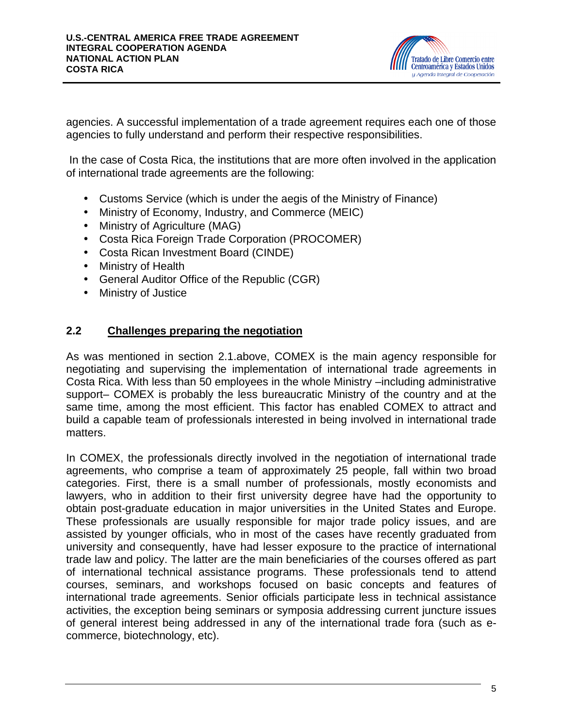

agencies. A successful implementation of a trade agreement requires each one of those agencies to fully understand and perform their respective responsibilities.

 In the case of Costa Rica, the institutions that are more often involved in the application of international trade agreements are the following:

- Customs Service (which is under the aegis of the Ministry of Finance)
- Ministry of Economy, Industry, and Commerce (MEIC)
- Ministry of Agriculture (MAG)
- Costa Rica Foreign Trade Corporation (PROCOMER)
- Costa Rican Investment Board (CINDE)
- Ministry of Health
- General Auditor Office of the Republic (CGR)
- Ministry of Justice

### **2.2 Challenges preparing the negotiation**

As was mentioned in section 2.1.above, COMEX is the main agency responsible for negotiating and supervising the implementation of international trade agreements in Costa Rica. With less than 50 employees in the whole Ministry –including administrative support– COMEX is probably the less bureaucratic Ministry of the country and at the same time, among the most efficient. This factor has enabled COMEX to attract and build a capable team of professionals interested in being involved in international trade matters.

In COMEX, the professionals directly involved in the negotiation of international trade agreements, who comprise a team of approximately 25 people, fall within two broad categories. First, there is a small number of professionals, mostly economists and lawyers, who in addition to their first university degree have had the opportunity to obtain post-graduate education in major universities in the United States and Europe. These professionals are usually responsible for major trade policy issues, and are assisted by younger officials, who in most of the cases have recently graduated from university and consequently, have had lesser exposure to the practice of international trade law and policy. The latter are the main beneficiaries of the courses offered as part of international technical assistance programs. These professionals tend to attend courses, seminars, and workshops focused on basic concepts and features of international trade agreements. Senior officials participate less in technical assistance activities, the exception being seminars or symposia addressing current juncture issues of general interest being addressed in any of the international trade fora (such as ecommerce, biotechnology, etc).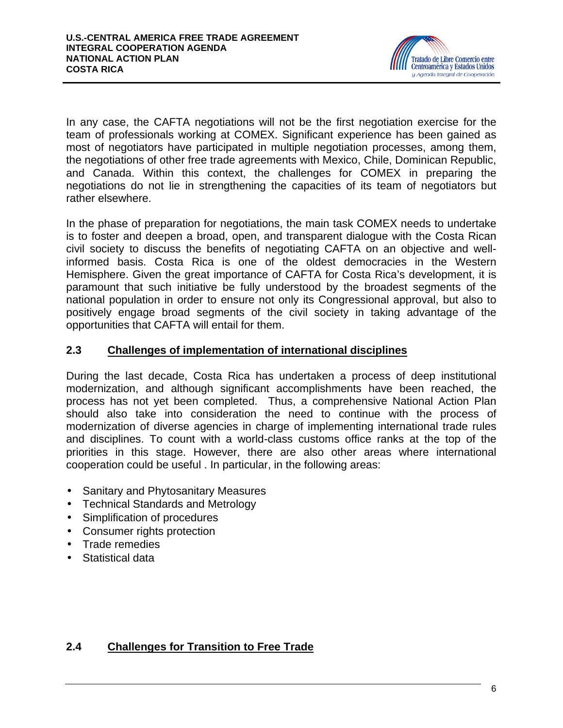

In any case, the CAFTA negotiations will not be the first negotiation exercise for the team of professionals working at COMEX. Significant experience has been gained as most of negotiators have participated in multiple negotiation processes, among them, the negotiations of other free trade agreements with Mexico, Chile, Dominican Republic, and Canada. Within this context, the challenges for COMEX in preparing the negotiations do not lie in strengthening the capacities of its team of negotiators but rather elsewhere.

In the phase of preparation for negotiations, the main task COMEX needs to undertake is to foster and deepen a broad, open, and transparent dialogue with the Costa Rican civil society to discuss the benefits of negotiating CAFTA on an objective and wellinformed basis. Costa Rica is one of the oldest democracies in the Western Hemisphere. Given the great importance of CAFTA for Costa Rica's development, it is paramount that such initiative be fully understood by the broadest segments of the national population in order to ensure not only its Congressional approval, but also to positively engage broad segments of the civil society in taking advantage of the opportunities that CAFTA will entail for them.

# **2.3 Challenges of implementation of international disciplines**

During the last decade, Costa Rica has undertaken a process of deep institutional modernization, and although significant accomplishments have been reached, the process has not yet been completed. Thus, a comprehensive National Action Plan should also take into consideration the need to continue with the process of modernization of diverse agencies in charge of implementing international trade rules and disciplines. To count with a world-class customs office ranks at the top of the priorities in this stage. However, there are also other areas where international cooperation could be useful . In particular, in the following areas:

- Sanitary and Phytosanitary Measures
- Technical Standards and Metrology
- Simplification of procedures
- Consumer rights protection
- Trade remedies
- Statistical data

# **2.4 Challenges for Transition to Free Trade**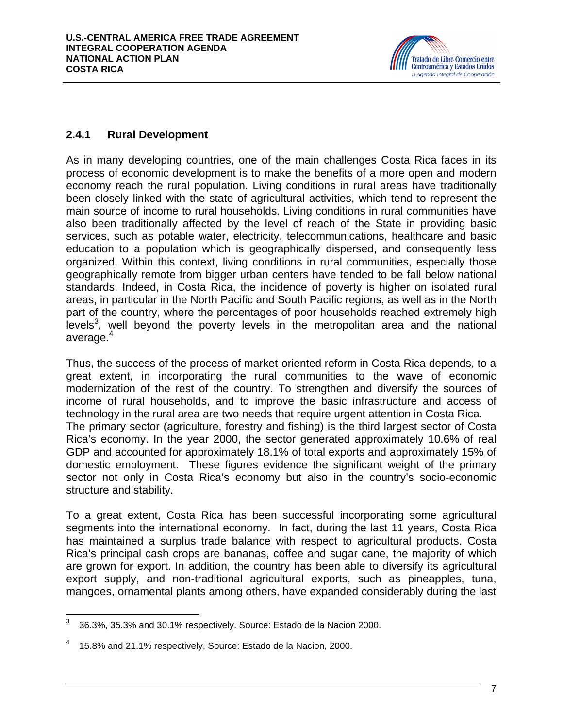

# **2.4.1 Rural Development**

As in many developing countries, one of the main challenges Costa Rica faces in its process of economic development is to make the benefits of a more open and modern economy reach the rural population. Living conditions in rural areas have traditionally been closely linked with the state of agricultural activities, which tend to represent the main source of income to rural households. Living conditions in rural communities have also been traditionally affected by the level of reach of the State in providing basic services, such as potable water, electricity, telecommunications, healthcare and basic education to a population which is geographically dispersed, and consequently less organized. Within this context, living conditions in rural communities, especially those geographically remote from bigger urban centers have tended to be fall below national standards. Indeed, in Costa Rica, the incidence of poverty is higher on isolated rural areas, in particular in the North Pacific and South Pacific regions, as well as in the North part of the country, where the percentages of poor households reached extremely high levels<sup>3</sup>, well beyond the poverty levels in the metropolitan area and the national average.<sup>4</sup>

Thus, the success of the process of market-oriented reform in Costa Rica depends, to a great extent, in incorporating the rural communities to the wave of economic modernization of the rest of the country. To strengthen and diversify the sources of income of rural households, and to improve the basic infrastructure and access of technology in the rural area are two needs that require urgent attention in Costa Rica. The primary sector (agriculture, forestry and fishing) is the third largest sector of Costa Rica's economy. In the year 2000, the sector generated approximately 10.6% of real GDP and accounted for approximately 18.1% of total exports and approximately 15% of domestic employment. These figures evidence the significant weight of the primary sector not only in Costa Rica's economy but also in the country's socio-economic structure and stability.

To a great extent, Costa Rica has been successful incorporating some agricultural segments into the international economy. In fact, during the last 11 years, Costa Rica has maintained a surplus trade balance with respect to agricultural products. Costa Rica's principal cash crops are bananas, coffee and sugar cane, the majority of which are grown for export. In addition, the country has been able to diversify its agricultural export supply, and non-traditional agricultural exports, such as pineapples, tuna, mangoes, ornamental plants among others, have expanded considerably during the last

 $\frac{1}{3}$ 36.3%, 35.3% and 30.1% respectively. Source: Estado de la Nacion 2000.

<sup>4</sup> 15.8% and 21.1% respectively, Source: Estado de la Nacion, 2000.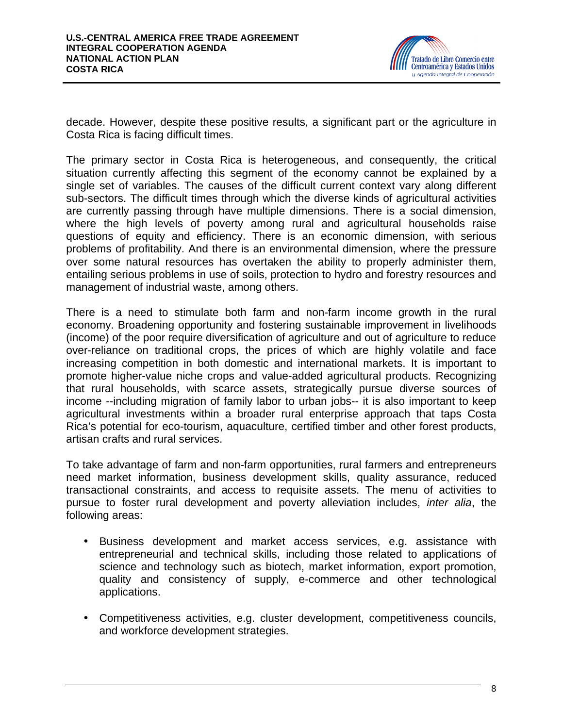

decade. However, despite these positive results, a significant part or the agriculture in Costa Rica is facing difficult times.

The primary sector in Costa Rica is heterogeneous, and consequently, the critical situation currently affecting this segment of the economy cannot be explained by a single set of variables. The causes of the difficult current context vary along different sub-sectors. The difficult times through which the diverse kinds of agricultural activities are currently passing through have multiple dimensions. There is a social dimension, where the high levels of poverty among rural and agricultural households raise questions of equity and efficiency. There is an economic dimension, with serious problems of profitability. And there is an environmental dimension, where the pressure over some natural resources has overtaken the ability to properly administer them, entailing serious problems in use of soils, protection to hydro and forestry resources and management of industrial waste, among others.

There is a need to stimulate both farm and non-farm income growth in the rural economy. Broadening opportunity and fostering sustainable improvement in livelihoods (income) of the poor require diversification of agriculture and out of agriculture to reduce over-reliance on traditional crops, the prices of which are highly volatile and face increasing competition in both domestic and international markets. It is important to promote higher-value niche crops and value-added agricultural products. Recognizing that rural households, with scarce assets, strategically pursue diverse sources of income --including migration of family labor to urban jobs-- it is also important to keep agricultural investments within a broader rural enterprise approach that taps Costa Rica's potential for eco-tourism, aquaculture, certified timber and other forest products, artisan crafts and rural services.

To take advantage of farm and non-farm opportunities, rural farmers and entrepreneurs need market information, business development skills, quality assurance, reduced transactional constraints, and access to requisite assets. The menu of activities to pursue to foster rural development and poverty alleviation includes, *inter alia*, the following areas:

- Business development and market access services, e.g. assistance with entrepreneurial and technical skills, including those related to applications of science and technology such as biotech, market information, export promotion, quality and consistency of supply, e-commerce and other technological applications.
- Competitiveness activities, e.g. cluster development, competitiveness councils, and workforce development strategies.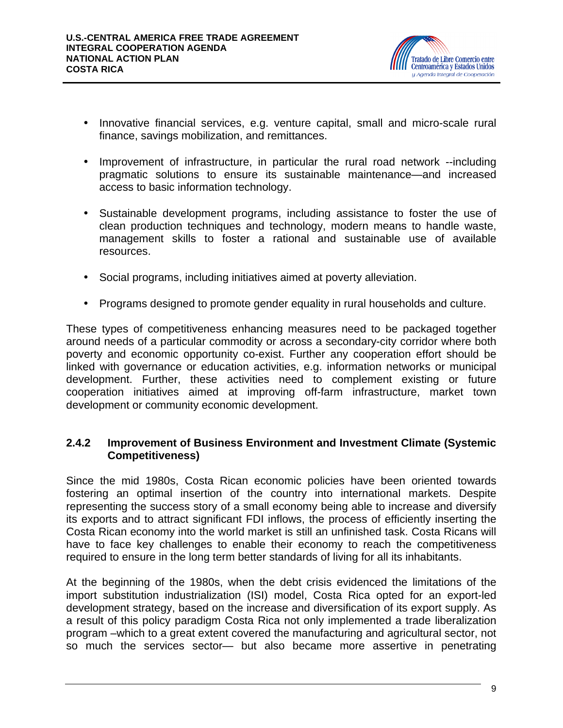

- Innovative financial services, e.g. venture capital, small and micro-scale rural finance, savings mobilization, and remittances.
- Improvement of infrastructure, in particular the rural road network --including pragmatic solutions to ensure its sustainable maintenance—and increased access to basic information technology.
- Sustainable development programs, including assistance to foster the use of clean production techniques and technology, modern means to handle waste, management skills to foster a rational and sustainable use of available resources.
- Social programs, including initiatives aimed at poverty alleviation.
- Programs designed to promote gender equality in rural households and culture.

These types of competitiveness enhancing measures need to be packaged together around needs of a particular commodity or across a secondary-city corridor where both poverty and economic opportunity co-exist. Further any cooperation effort should be linked with governance or education activities, e.g. information networks or municipal development. Further, these activities need to complement existing or future cooperation initiatives aimed at improving off-farm infrastructure, market town development or community economic development.

### **2.4.2 Improvement of Business Environment and Investment Climate (Systemic Competitiveness)**

Since the mid 1980s, Costa Rican economic policies have been oriented towards fostering an optimal insertion of the country into international markets. Despite representing the success story of a small economy being able to increase and diversify its exports and to attract significant FDI inflows, the process of efficiently inserting the Costa Rican economy into the world market is still an unfinished task. Costa Ricans will have to face key challenges to enable their economy to reach the competitiveness required to ensure in the long term better standards of living for all its inhabitants.

At the beginning of the 1980s, when the debt crisis evidenced the limitations of the import substitution industrialization (ISI) model, Costa Rica opted for an export-led development strategy, based on the increase and diversification of its export supply. As a result of this policy paradigm Costa Rica not only implemented a trade liberalization program –which to a great extent covered the manufacturing and agricultural sector, not so much the services sector— but also became more assertive in penetrating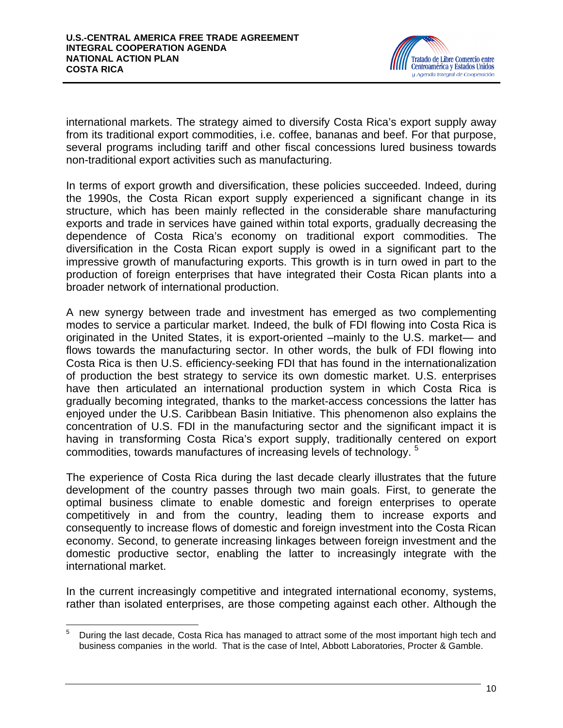

international markets. The strategy aimed to diversify Costa Rica's export supply away from its traditional export commodities, i.e. coffee, bananas and beef. For that purpose, several programs including tariff and other fiscal concessions lured business towards non-traditional export activities such as manufacturing.

In terms of export growth and diversification, these policies succeeded. Indeed, during the 1990s, the Costa Rican export supply experienced a significant change in its structure, which has been mainly reflected in the considerable share manufacturing exports and trade in services have gained within total exports, gradually decreasing the dependence of Costa Rica's economy on traditional export commodities. The diversification in the Costa Rican export supply is owed in a significant part to the impressive growth of manufacturing exports. This growth is in turn owed in part to the production of foreign enterprises that have integrated their Costa Rican plants into a broader network of international production.

A new synergy between trade and investment has emerged as two complementing modes to service a particular market. Indeed, the bulk of FDI flowing into Costa Rica is originated in the United States, it is export-oriented –mainly to the U.S. market— and flows towards the manufacturing sector. In other words, the bulk of FDI flowing into Costa Rica is then U.S. efficiency-seeking FDI that has found in the internationalization of production the best strategy to service its own domestic market. U.S. enterprises have then articulated an international production system in which Costa Rica is gradually becoming integrated, thanks to the market-access concessions the latter has enjoyed under the U.S. Caribbean Basin Initiative. This phenomenon also explains the concentration of U.S. FDI in the manufacturing sector and the significant impact it is having in transforming Costa Rica's export supply, traditionally centered on export commodities, towards manufactures of increasing levels of technology. <sup>5</sup>

The experience of Costa Rica during the last decade clearly illustrates that the future development of the country passes through two main goals. First, to generate the optimal business climate to enable domestic and foreign enterprises to operate competitively in and from the country, leading them to increase exports and consequently to increase flows of domestic and foreign investment into the Costa Rican economy. Second, to generate increasing linkages between foreign investment and the domestic productive sector, enabling the latter to increasingly integrate with the international market.

In the current increasingly competitive and integrated international economy, systems, rather than isolated enterprises, are those competing against each other. Although the

 $\,$  5  $\,$ <sup>5</sup> During the last decade, Costa Rica has managed to attract some of the most important high tech and business companies in the world. That is the case of Intel, Abbott Laboratories, Procter & Gamble.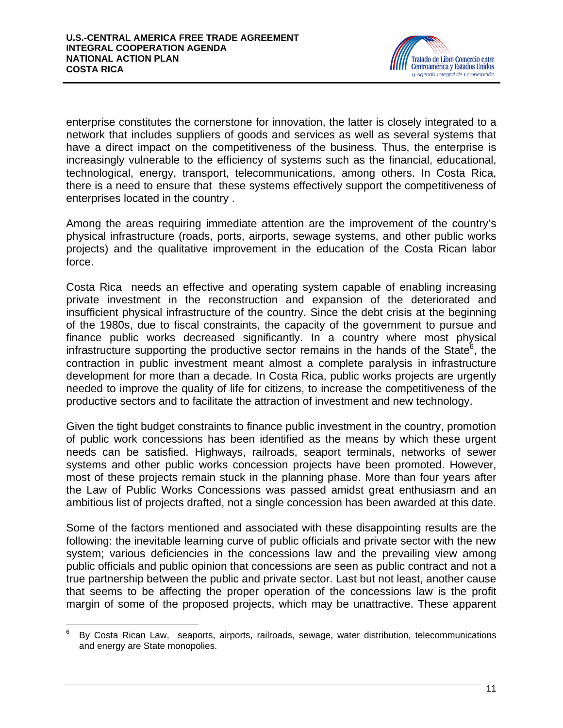

enterprise constitutes the cornerstone for innovation, the latter is closely integrated to a network that includes suppliers of goods and services as well as several systems that have a direct impact on the competitiveness of the business. Thus, the enterprise is increasingly vulnerable to the efficiency of systems such as the financial, educational, technological, energy, transport, telecommunications, among others. In Costa Rica, there is a need to ensure that these systems effectively support the competitiveness of enterprises located in the country .

Among the areas requiring immediate attention are the improvement of the country's physical infrastructure (roads, ports, airports, sewage systems, and other public works projects) and the qualitative improvement in the education of the Costa Rican labor force.

Costa Rica needs an effective and operating system capable of enabling increasing private investment in the reconstruction and expansion of the deteriorated and insufficient physical infrastructure of the country. Since the debt crisis at the beginning of the 1980s, due to fiscal constraints, the capacity of the government to pursue and finance public works decreased significantly. In a country where most physical infrastructure supporting the productive sector remains in the hands of the State<sup>6</sup>, the contraction in public investment meant almost a complete paralysis in infrastructure development for more than a decade. In Costa Rica, public works projects are urgently needed to improve the quality of life for citizens, to increase the competitiveness of the productive sectors and to facilitate the attraction of investment and new technology.

Given the tight budget constraints to finance public investment in the country, promotion of public work concessions has been identified as the means by which these urgent needs can be satisfied. Highways, railroads, seaport terminals, networks of sewer systems and other public works concession projects have been promoted. However, most of these projects remain stuck in the planning phase. More than four years after the Law of Public Works Concessions was passed amidst great enthusiasm and an ambitious list of projects drafted, not a single concession has been awarded at this date.

Some of the factors mentioned and associated with these disappointing results are the following: the inevitable learning curve of public officials and private sector with the new system; various deficiencies in the concessions law and the prevailing view among public officials and public opinion that concessions are seen as public contract and not a true partnership between the public and private sector. Last but not least, another cause that seems to be affecting the proper operation of the concessions law is the profit margin of some of the proposed projects, which may be unattractive. These apparent

<sup>—&</sup>lt;br>6 By Costa Rican Law, seaports, airports, railroads, sewage, water distribution, telecommunications and energy are State monopolies.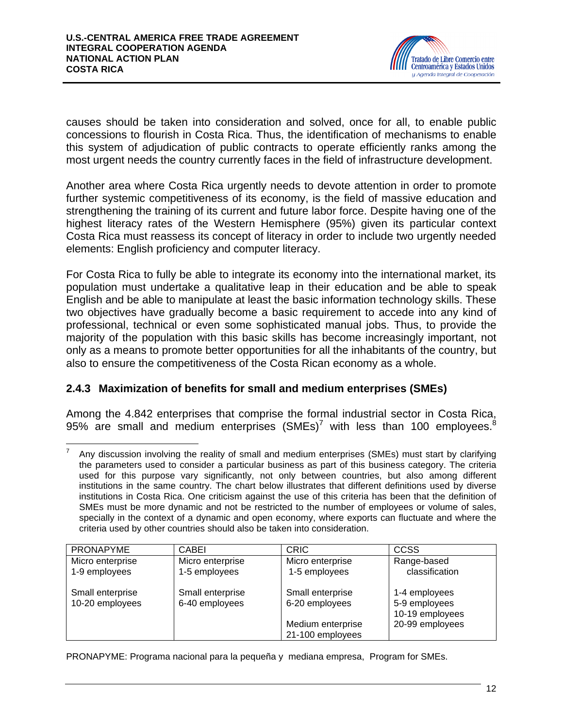

causes should be taken into consideration and solved, once for all, to enable public concessions to flourish in Costa Rica. Thus, the identification of mechanisms to enable this system of adjudication of public contracts to operate efficiently ranks among the most urgent needs the country currently faces in the field of infrastructure development.

Another area where Costa Rica urgently needs to devote attention in order to promote further systemic competitiveness of its economy, is the field of massive education and strengthening the training of its current and future labor force. Despite having one of the highest literacy rates of the Western Hemisphere (95%) given its particular context Costa Rica must reassess its concept of literacy in order to include two urgently needed elements: English proficiency and computer literacy.

For Costa Rica to fully be able to integrate its economy into the international market, its population must undertake a qualitative leap in their education and be able to speak English and be able to manipulate at least the basic information technology skills. These two objectives have gradually become a basic requirement to accede into any kind of professional, technical or even some sophisticated manual jobs. Thus, to provide the majority of the population with this basic skills has become increasingly important, not only as a means to promote better opportunities for all the inhabitants of the country, but also to ensure the competitiveness of the Costa Rican economy as a whole.

# **2.4.3 Maximization of benefits for small and medium enterprises (SMEs)**

Among the 4.842 enterprises that comprise the formal industrial sector in Costa Rica, 95% are small and medium enterprises  $(SMEs)^7$  with less than 100 employees.<sup>8</sup>

 $\overline{a}$ 7 Any discussion involving the reality of small and medium enterprises (SMEs) must start by clarifying the parameters used to consider a particular business as part of this business category. The criteria used for this purpose vary significantly, not only between countries, but also among different institutions in the same country. The chart below illustrates that different definitions used by diverse institutions in Costa Rica. One criticism against the use of this criteria has been that the definition of SMEs must be more dynamic and not be restricted to the number of employees or volume of sales, specially in the context of a dynamic and open economy, where exports can fluctuate and where the criteria used by other countries should also be taken into consideration.

| <b>PRONAPYME</b> | CABEI            | <b>CRIC</b>       | <b>CCSS</b>     |
|------------------|------------------|-------------------|-----------------|
| Micro enterprise | Micro enterprise | Micro enterprise  | Range-based     |
| 1-9 employees    | 1-5 employees    | 1-5 employees     | classification  |
| Small enterprise | Small enterprise | Small enterprise  | 1-4 employees   |
| 10-20 employees  | 6-40 employees   | 6-20 employees    | 5-9 employees   |
|                  |                  |                   | 10-19 employees |
|                  |                  | Medium enterprise | 20-99 employees |
|                  |                  | 21-100 employees  |                 |

PRONAPYME: Programa nacional para la pequeña y mediana empresa, Program for SMEs.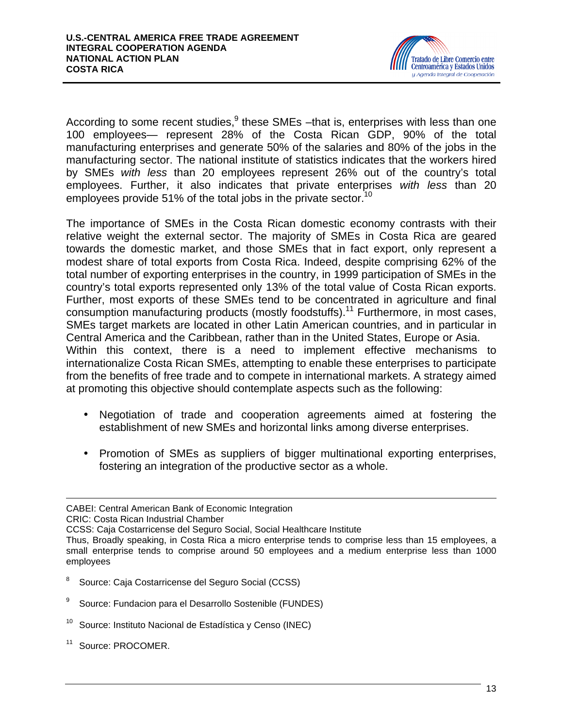

According to some recent studies, $9$  these SMEs -that is, enterprises with less than one 100 employees— represent 28% of the Costa Rican GDP, 90% of the total manufacturing enterprises and generate 50% of the salaries and 80% of the jobs in the manufacturing sector. The national institute of statistics indicates that the workers hired by SMEs *with less* than 20 employees represent 26% out of the country's total employees. Further, it also indicates that private enterprises *with less* than 20 employees provide 51% of the total jobs in the private sector.<sup>10</sup>

The importance of SMEs in the Costa Rican domestic economy contrasts with their relative weight the external sector. The majority of SMEs in Costa Rica are geared towards the domestic market, and those SMEs that in fact export, only represent a modest share of total exports from Costa Rica. Indeed, despite comprising 62% of the total number of exporting enterprises in the country, in 1999 participation of SMEs in the country's total exports represented only 13% of the total value of Costa Rican exports. Further, most exports of these SMEs tend to be concentrated in agriculture and final consumption manufacturing products (mostly foodstuffs).<sup>11</sup> Furthermore, in most cases, SMEs target markets are located in other Latin American countries, and in particular in Central America and the Caribbean, rather than in the United States, Europe or Asia. Within this context, there is a need to implement effective mechanisms to internationalize Costa Rican SMEs, attempting to enable these enterprises to participate from the benefits of free trade and to compete in international markets. A strategy aimed at promoting this objective should contemplate aspects such as the following:

- Negotiation of trade and cooperation agreements aimed at fostering the establishment of new SMEs and horizontal links among diverse enterprises.
- Promotion of SMEs as suppliers of bigger multinational exporting enterprises, fostering an integration of the productive sector as a whole.

- 8 Source: Caja Costarricense del Seguro Social (CCSS)
- 9 Source: Fundacion para el Desarrollo Sostenible (FUNDES)
- <sup>10</sup> Source: Instituto Nacional de Estadística y Censo (INEC)
- <sup>11</sup> Source: PROCOMER.

 $\overline{a}$ CABEI: Central American Bank of Economic Integration

CRIC: Costa Rican Industrial Chamber

CCSS: Caja Costarricense del Seguro Social, Social Healthcare Institute

Thus, Broadly speaking, in Costa Rica a micro enterprise tends to comprise less than 15 employees, a small enterprise tends to comprise around 50 employees and a medium enterprise less than 1000 employees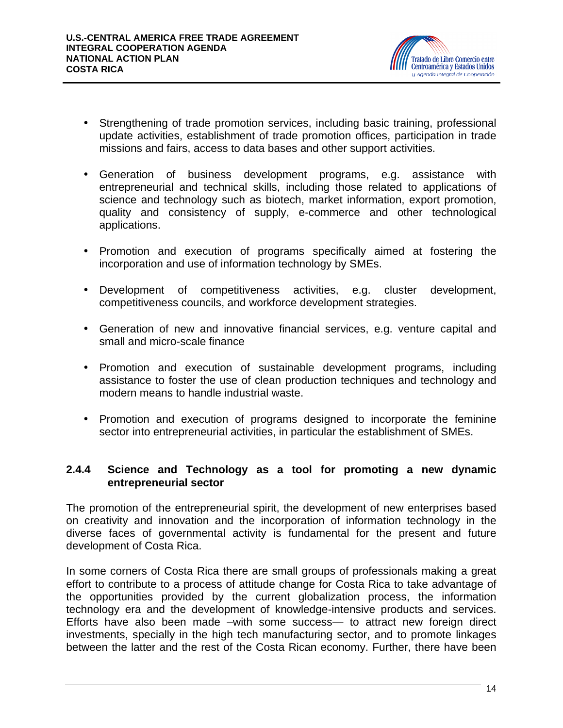

- Strengthening of trade promotion services, including basic training, professional update activities, establishment of trade promotion offices, participation in trade missions and fairs, access to data bases and other support activities.
- Generation of business development programs, e.g. assistance with entrepreneurial and technical skills, including those related to applications of science and technology such as biotech, market information, export promotion, quality and consistency of supply, e-commerce and other technological applications.
- Promotion and execution of programs specifically aimed at fostering the incorporation and use of information technology by SMEs.
- Development of competitiveness activities, e.g. cluster development, competitiveness councils, and workforce development strategies.
- Generation of new and innovative financial services, e.g. venture capital and small and micro-scale finance
- Promotion and execution of sustainable development programs, including assistance to foster the use of clean production techniques and technology and modern means to handle industrial waste.
- Promotion and execution of programs designed to incorporate the feminine sector into entrepreneurial activities, in particular the establishment of SMEs.

### **2.4.4 Science and Technology as a tool for promoting a new dynamic entrepreneurial sector**

The promotion of the entrepreneurial spirit, the development of new enterprises based on creativity and innovation and the incorporation of information technology in the diverse faces of governmental activity is fundamental for the present and future development of Costa Rica.

In some corners of Costa Rica there are small groups of professionals making a great effort to contribute to a process of attitude change for Costa Rica to take advantage of the opportunities provided by the current globalization process, the information technology era and the development of knowledge-intensive products and services. Efforts have also been made –with some success— to attract new foreign direct investments, specially in the high tech manufacturing sector, and to promote linkages between the latter and the rest of the Costa Rican economy. Further, there have been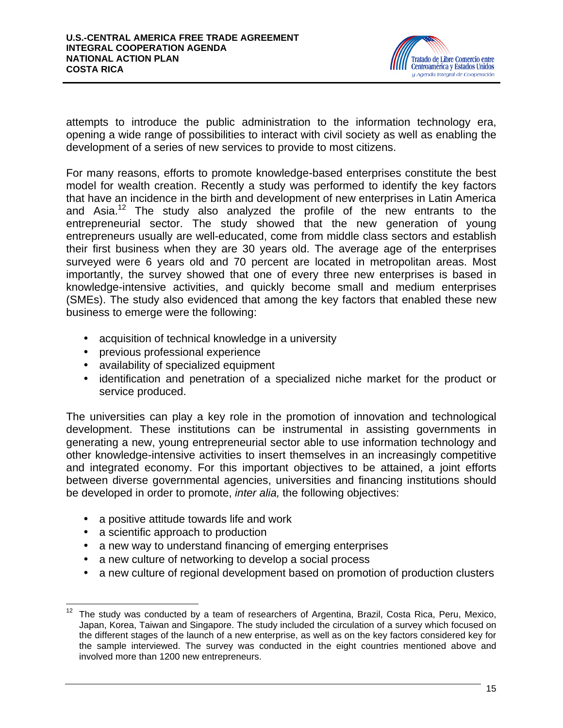

attempts to introduce the public administration to the information technology era, opening a wide range of possibilities to interact with civil society as well as enabling the development of a series of new services to provide to most citizens.

For many reasons, efforts to promote knowledge-based enterprises constitute the best model for wealth creation. Recently a study was performed to identify the key factors that have an incidence in the birth and development of new enterprises in Latin America and Asia. $12$  The study also analyzed the profile of the new entrants to the entrepreneurial sector. The study showed that the new generation of young entrepreneurs usually are well-educated, come from middle class sectors and establish their first business when they are 30 years old. The average age of the enterprises surveyed were 6 years old and 70 percent are located in metropolitan areas. Most importantly, the survey showed that one of every three new enterprises is based in knowledge-intensive activities, and quickly become small and medium enterprises (SMEs). The study also evidenced that among the key factors that enabled these new business to emerge were the following:

- acquisition of technical knowledge in a university
- previous professional experience
- availability of specialized equipment
- identification and penetration of a specialized niche market for the product or service produced.

The universities can play a key role in the promotion of innovation and technological development. These institutions can be instrumental in assisting governments in generating a new, young entrepreneurial sector able to use information technology and other knowledge-intensive activities to insert themselves in an increasingly competitive and integrated economy. For this important objectives to be attained, a joint efforts between diverse governmental agencies, universities and financing institutions should be developed in order to promote, *inter alia,* the following objectives:

- a positive attitude towards life and work
- a scientific approach to production
- a new way to understand financing of emerging enterprises
- a new culture of networking to develop a social process
- a new culture of regional development based on promotion of production clusters

 $12$ <sup>12</sup> The study was conducted by a team of researchers of Argentina, Brazil, Costa Rica, Peru, Mexico, Japan, Korea, Taiwan and Singapore. The study included the circulation of a survey which focused on the different stages of the launch of a new enterprise, as well as on the key factors considered key for the sample interviewed. The survey was conducted in the eight countries mentioned above and involved more than 1200 new entrepreneurs.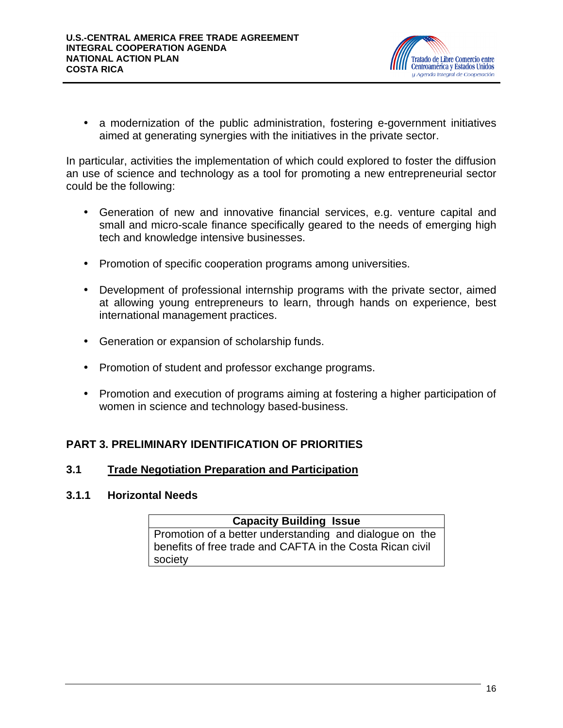

• a modernization of the public administration, fostering e-government initiatives aimed at generating synergies with the initiatives in the private sector.

In particular, activities the implementation of which could explored to foster the diffusion an use of science and technology as a tool for promoting a new entrepreneurial sector could be the following:

- Generation of new and innovative financial services, e.g. venture capital and small and micro-scale finance specifically geared to the needs of emerging high tech and knowledge intensive businesses.
- Promotion of specific cooperation programs among universities.
- Development of professional internship programs with the private sector, aimed at allowing young entrepreneurs to learn, through hands on experience, best international management practices.
- Generation or expansion of scholarship funds.
- Promotion of student and professor exchange programs.
- Promotion and execution of programs aiming at fostering a higher participation of women in science and technology based-business.

# **PART 3. PRELIMINARY IDENTIFICATION OF PRIORITIES**

### **3.1 Trade Negotiation Preparation and Participation**

### **3.1.1 Horizontal Needs**

### **Capacity Building Issue**

Promotion of a better understanding and dialogue on the benefits of free trade and CAFTA in the Costa Rican civil society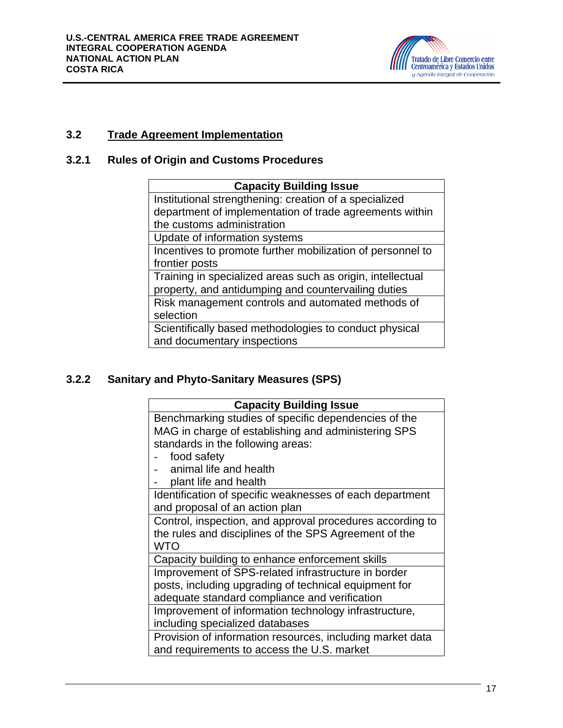

# **3.2 Trade Agreement Implementation**

# **3.2.1 Rules of Origin and Customs Procedures**

| <b>Capacity Building Issue</b>                             |  |
|------------------------------------------------------------|--|
| Institutional strengthening: creation of a specialized     |  |
| department of implementation of trade agreements within    |  |
| the customs administration                                 |  |
| Update of information systems                              |  |
| Incentives to promote further mobilization of personnel to |  |
| frontier posts                                             |  |
| Training in specialized areas such as origin, intellectual |  |
| property, and antidumping and countervailing duties        |  |
| Risk management controls and automated methods of          |  |
| selection                                                  |  |
| Scientifically based methodologies to conduct physical     |  |
| and documentary inspections                                |  |

# **3.2.2 Sanitary and Phyto-Sanitary Measures (SPS)**

| <b>Capacity Building Issue</b>                            |  |
|-----------------------------------------------------------|--|
| Benchmarking studies of specific dependencies of the      |  |
| MAG in charge of establishing and administering SPS       |  |
| standards in the following areas:                         |  |
| food safety                                               |  |
| animal life and health                                    |  |
| plant life and health                                     |  |
| Identification of specific weaknesses of each department  |  |
| and proposal of an action plan                            |  |
| Control, inspection, and approval procedures according to |  |
| the rules and disciplines of the SPS Agreement of the     |  |
| WTO                                                       |  |
| Capacity building to enhance enforcement skills           |  |
| Improvement of SPS-related infrastructure in border       |  |
| posts, including upgrading of technical equipment for     |  |
| adequate standard compliance and verification             |  |
| Improvement of information technology infrastructure,     |  |
| including specialized databases                           |  |
| Provision of information resources, including market data |  |
| and requirements to access the U.S. market                |  |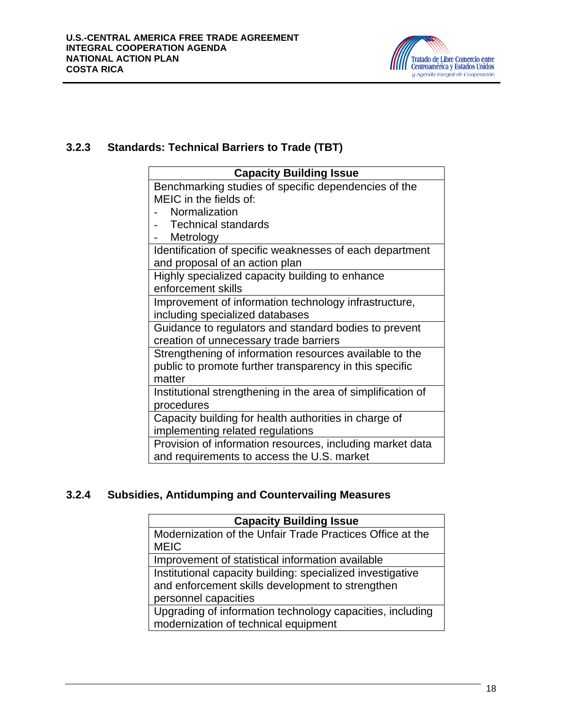

# **3.2.3 Standards: Technical Barriers to Trade (TBT)**

| <b>Capacity Building Issue</b>                               |
|--------------------------------------------------------------|
| Benchmarking studies of specific dependencies of the         |
| MEIC in the fields of:                                       |
| Normalization                                                |
| <b>Technical standards</b>                                   |
| Metrology                                                    |
| Identification of specific weaknesses of each department     |
| and proposal of an action plan                               |
| Highly specialized capacity building to enhance              |
| enforcement skills                                           |
| Improvement of information technology infrastructure,        |
| including specialized databases                              |
| Guidance to regulators and standard bodies to prevent        |
| creation of unnecessary trade barriers                       |
| Strengthening of information resources available to the      |
| public to promote further transparency in this specific      |
| matter                                                       |
| Institutional strengthening in the area of simplification of |
| procedures                                                   |
| Capacity building for health authorities in charge of        |
| implementing related regulations                             |
| Provision of information resources, including market data    |
| and requirements to access the U.S. market                   |

# **3.2.4 Subsidies, Antidumping and Countervailing Measures**

| <b>Capacity Building Issue</b>                             |  |
|------------------------------------------------------------|--|
| Modernization of the Unfair Trade Practices Office at the  |  |
| <b>MEIC</b>                                                |  |
| Improvement of statistical information available           |  |
| Institutional capacity building: specialized investigative |  |
| and enforcement skills development to strengthen           |  |
| personnel capacities                                       |  |
| Upgrading of information technology capacities, including  |  |
| modernization of technical equipment                       |  |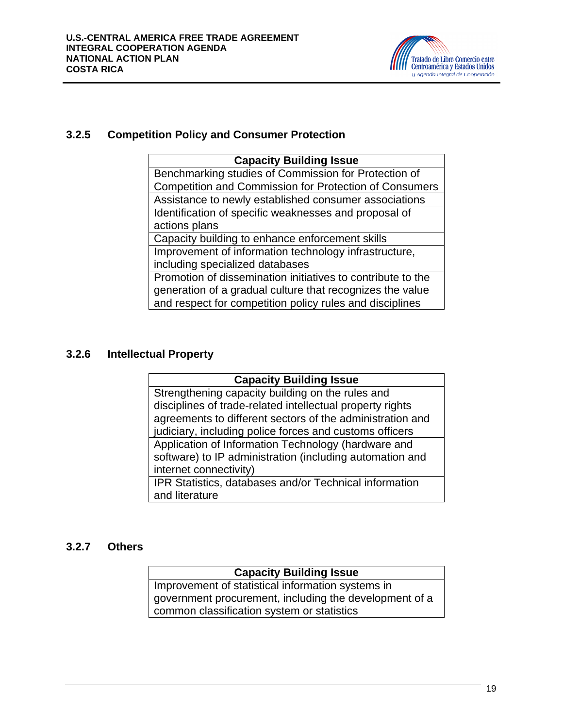

### **3.2.5 Competition Policy and Consumer Protection**

| <b>Capacity Building Issue</b>                                |  |
|---------------------------------------------------------------|--|
| Benchmarking studies of Commission for Protection of          |  |
| <b>Competition and Commission for Protection of Consumers</b> |  |
| Assistance to newly established consumer associations         |  |
| Identification of specific weaknesses and proposal of         |  |
| actions plans                                                 |  |
| Capacity building to enhance enforcement skills               |  |
| Improvement of information technology infrastructure,         |  |
| including specialized databases                               |  |
| Promotion of dissemination initiatives to contribute to the   |  |
| generation of a gradual culture that recognizes the value     |  |
| and respect for competition policy rules and disciplines      |  |

# **3.2.6 Intellectual Property**

| <b>Capacity Building Issue</b>                            |  |
|-----------------------------------------------------------|--|
| Strengthening capacity building on the rules and          |  |
| disciplines of trade-related intellectual property rights |  |
| agreements to different sectors of the administration and |  |
| judiciary, including police forces and customs officers   |  |
| Application of Information Technology (hardware and       |  |
| software) to IP administration (including automation and  |  |
| internet connectivity)                                    |  |
| IPR Statistics, databases and/or Technical information    |  |
| and literature                                            |  |

### **3.2.7 Others**

# **Capacity Building Issue**

Improvement of statistical information systems in government procurement, including the development of a common classification system or statistics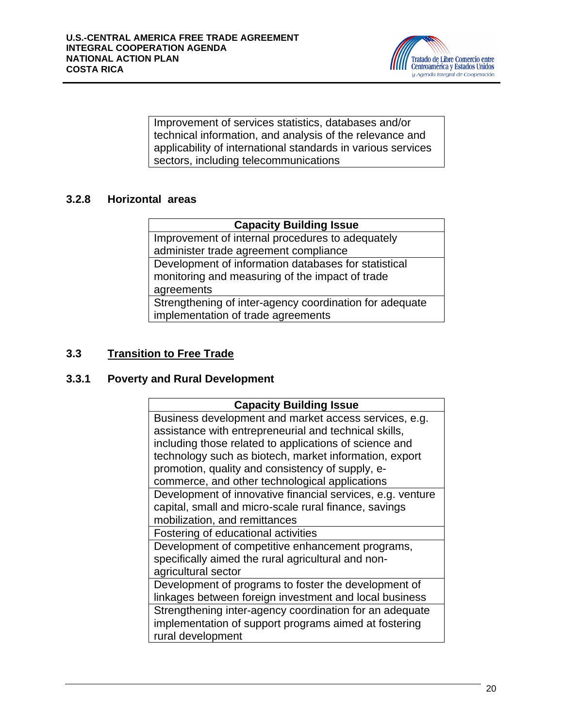

Improvement of services statistics, databases and/or technical information, and analysis of the relevance and applicability of international standards in various services sectors, including telecommunications

# **3.2.8 Horizontal areas**

# **Capacity Building Issue**

Improvement of internal procedures to adequately administer trade agreement compliance Development of information databases for statistical monitoring and measuring of the impact of trade agreements Strengthening of inter-agency coordination for adequate implementation of trade agreements

# **3.3 Transition to Free Trade**

### **3.3.1 Poverty and Rural Development**

| <b>Capacity Building Issue</b>                             |  |
|------------------------------------------------------------|--|
| Business development and market access services, e.g.      |  |
| assistance with entrepreneurial and technical skills,      |  |
| including those related to applications of science and     |  |
| technology such as biotech, market information, export     |  |
| promotion, quality and consistency of supply, e-           |  |
| commerce, and other technological applications             |  |
| Development of innovative financial services, e.g. venture |  |
| capital, small and micro-scale rural finance, savings      |  |
| mobilization, and remittances                              |  |
| Fostering of educational activities                        |  |
| Development of competitive enhancement programs,           |  |
| specifically aimed the rural agricultural and non-         |  |
| agricultural sector                                        |  |
| Development of programs to foster the development of       |  |
| linkages between foreign investment and local business     |  |
| Strengthening inter-agency coordination for an adequate    |  |
| implementation of support programs aimed at fostering      |  |
| rural development                                          |  |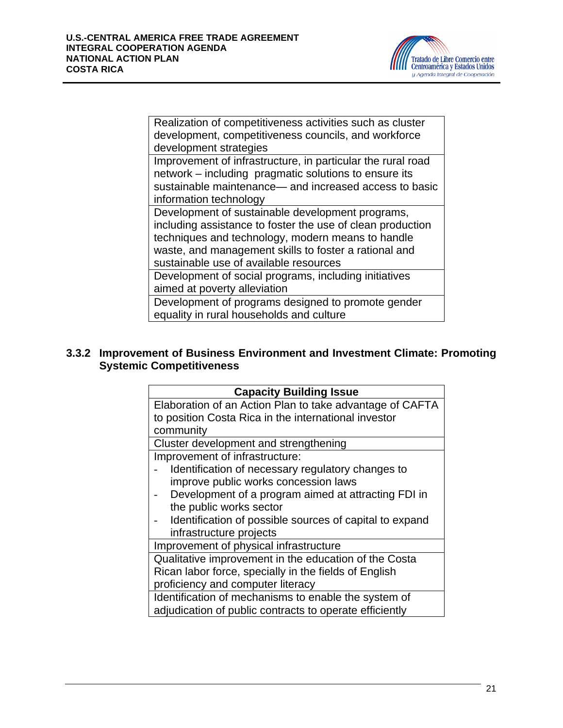

Realization of competitiveness activities such as cluster development, competitiveness councils, and workforce development strategies

Improvement of infrastructure, in particular the rural road network – including pragmatic solutions to ensure its sustainable maintenance— and increased access to basic information technology

Development of sustainable development programs, including assistance to foster the use of clean production techniques and technology, modern means to handle waste, and management skills to foster a rational and sustainable use of available resources

Development of social programs, including initiatives aimed at poverty alleviation

Development of programs designed to promote gender equality in rural households and culture

### **3.3.2 Improvement of Business Environment and Investment Climate: Promoting Systemic Competitiveness**

| <b>Capacity Building Issue</b>                           |  |
|----------------------------------------------------------|--|
| Elaboration of an Action Plan to take advantage of CAFTA |  |
| to position Costa Rica in the international investor     |  |
| community                                                |  |
| Cluster development and strengthening                    |  |
| Improvement of infrastructure:                           |  |
| Identification of necessary regulatory changes to        |  |
| improve public works concession laws                     |  |
| Development of a program aimed at attracting FDI in      |  |
| the public works sector                                  |  |
| Identification of possible sources of capital to expand  |  |
| infrastructure projects                                  |  |
| Improvement of physical infrastructure                   |  |
| Qualitative improvement in the education of the Costa    |  |
| Rican labor force, specially in the fields of English    |  |
| proficiency and computer literacy                        |  |
| Identification of mechanisms to enable the system of     |  |
| adjudication of public contracts to operate efficiently  |  |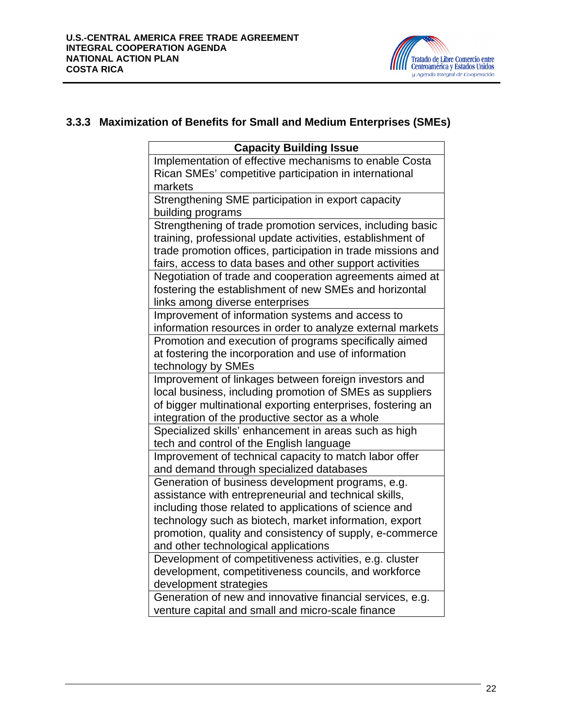

# **3.3.3 Maximization of Benefits for Small and Medium Enterprises (SMEs)**

| <b>Capacity Building Issue</b>                               |  |
|--------------------------------------------------------------|--|
| Implementation of effective mechanisms to enable Costa       |  |
| Rican SMEs' competitive participation in international       |  |
| markets                                                      |  |
| Strengthening SME participation in export capacity           |  |
| building programs                                            |  |
| Strengthening of trade promotion services, including basic   |  |
| training, professional update activities, establishment of   |  |
| trade promotion offices, participation in trade missions and |  |
| fairs, access to data bases and other support activities     |  |
| Negotiation of trade and cooperation agreements aimed at     |  |
| fostering the establishment of new SMEs and horizontal       |  |
| links among diverse enterprises                              |  |
| Improvement of information systems and access to             |  |
| information resources in order to analyze external markets   |  |
| Promotion and execution of programs specifically aimed       |  |
| at fostering the incorporation and use of information        |  |
| technology by SMEs                                           |  |
| Improvement of linkages between foreign investors and        |  |
| local business, including promotion of SMEs as suppliers     |  |
| of bigger multinational exporting enterprises, fostering an  |  |
| integration of the productive sector as a whole              |  |
| Specialized skills' enhancement in areas such as high        |  |
| tech and control of the English language                     |  |
| Improvement of technical capacity to match labor offer       |  |
| and demand through specialized databases                     |  |
| Generation of business development programs, e.g.            |  |
| assistance with entrepreneurial and technical skills,        |  |
| including those related to applications of science and       |  |
| technology such as biotech, market information, export       |  |
| promotion, quality and consistency of supply, e-commerce     |  |
| and other technological applications                         |  |
| Development of competitiveness activities, e.g. cluster      |  |
| development, competitiveness councils, and workforce         |  |
| development strategies                                       |  |
| Generation of new and innovative financial services, e.g.    |  |
| venture capital and small and micro-scale finance            |  |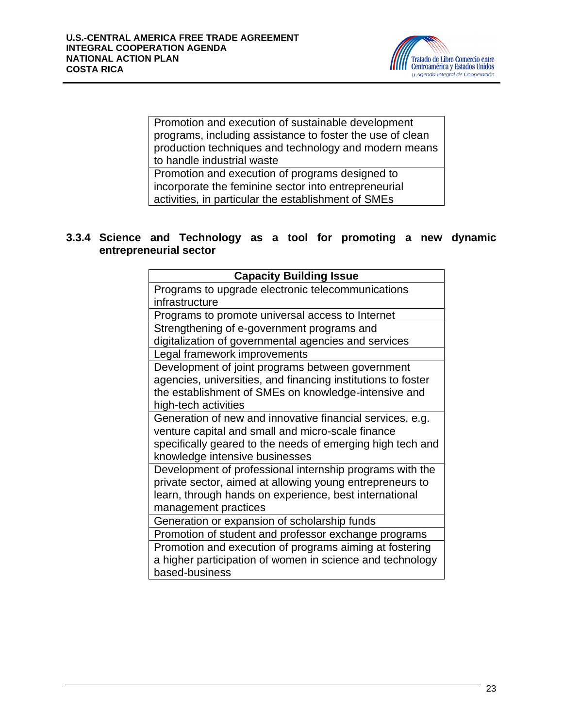

Promotion and execution of sustainable development programs, including assistance to foster the use of clean production techniques and technology and modern means to handle industrial waste

Promotion and execution of programs designed to incorporate the feminine sector into entrepreneurial activities, in particular the establishment of SMEs

### **3.3.4 Science and Technology as a tool for promoting a new dynamic entrepreneurial sector**

| <b>Capacity Building Issue</b>                               |
|--------------------------------------------------------------|
| Programs to upgrade electronic telecommunications            |
| infrastructure                                               |
| Programs to promote universal access to Internet             |
| Strengthening of e-government programs and                   |
| digitalization of governmental agencies and services         |
| Legal framework improvements                                 |
| Development of joint programs between government             |
| agencies, universities, and financing institutions to foster |
| the establishment of SMEs on knowledge-intensive and         |
| high-tech activities                                         |
| Generation of new and innovative financial services, e.g.    |
| venture capital and small and micro-scale finance            |
| specifically geared to the needs of emerging high tech and   |
| knowledge intensive businesses                               |
| Development of professional internship programs with the     |
| private sector, aimed at allowing young entrepreneurs to     |
| learn, through hands on experience, best international       |
| management practices                                         |
| Generation or expansion of scholarship funds                 |
| Promotion of student and professor exchange programs         |
| Promotion and execution of programs aiming at fostering      |
| a higher participation of women in science and technology    |
| based-business                                               |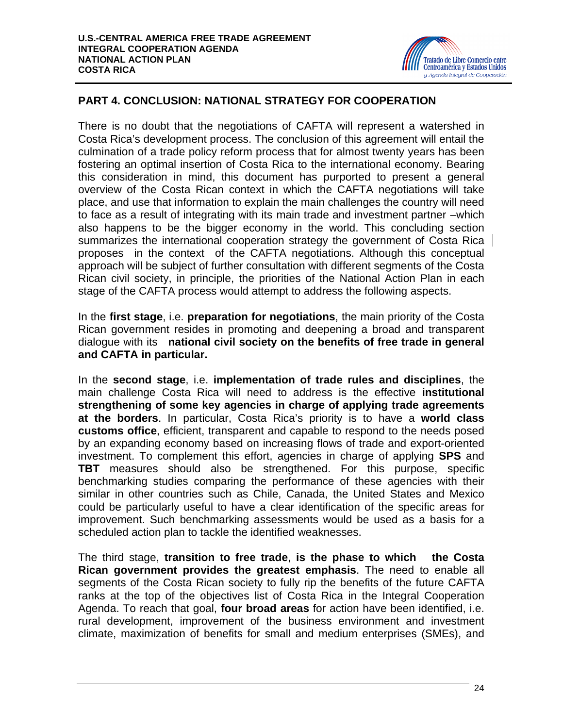

# **PART 4. CONCLUSION: NATIONAL STRATEGY FOR COOPERATION**

There is no doubt that the negotiations of CAFTA will represent a watershed in Costa Rica's development process. The conclusion of this agreement will entail the culmination of a trade policy reform process that for almost twenty years has been fostering an optimal insertion of Costa Rica to the international economy. Bearing this consideration in mind, this document has purported to present a general overview of the Costa Rican context in which the CAFTA negotiations will take place, and use that information to explain the main challenges the country will need to face as a result of integrating with its main trade and investment partner –which also happens to be the bigger economy in the world. This concluding section summarizes the international cooperation strategy the government of Costa Rica proposes in the context of the CAFTA negotiations. Although this conceptual approach will be subject of further consultation with different segments of the Costa Rican civil society, in principle, the priorities of the National Action Plan in each stage of the CAFTA process would attempt to address the following aspects.

In the **first stage**, i.e. **preparation for negotiations**, the main priority of the Costa Rican government resides in promoting and deepening a broad and transparent dialogue with its **national civil society on the benefits of free trade in general and CAFTA in particular.**

In the **second stage**, i.e. **implementation of trade rules and disciplines**, the main challenge Costa Rica will need to address is the effective **institutional strengthening of some key agencies in charge of applying trade agreements at the borders**. In particular, Costa Rica's priority is to have a **world class customs office**, efficient, transparent and capable to respond to the needs posed by an expanding economy based on increasing flows of trade and export-oriented investment. To complement this effort, agencies in charge of applying **SPS** and **TBT** measures should also be strengthened. For this purpose, specific benchmarking studies comparing the performance of these agencies with their similar in other countries such as Chile, Canada, the United States and Mexico could be particularly useful to have a clear identification of the specific areas for improvement. Such benchmarking assessments would be used as a basis for a scheduled action plan to tackle the identified weaknesses.

The third stage, **transition to free trade**, **is the phase to which the Costa Rican government provides the greatest emphasis**. The need to enable all segments of the Costa Rican society to fully rip the benefits of the future CAFTA ranks at the top of the objectives list of Costa Rica in the Integral Cooperation Agenda. To reach that goal, **four broad areas** for action have been identified, i.e. rural development, improvement of the business environment and investment climate, maximization of benefits for small and medium enterprises (SMEs), and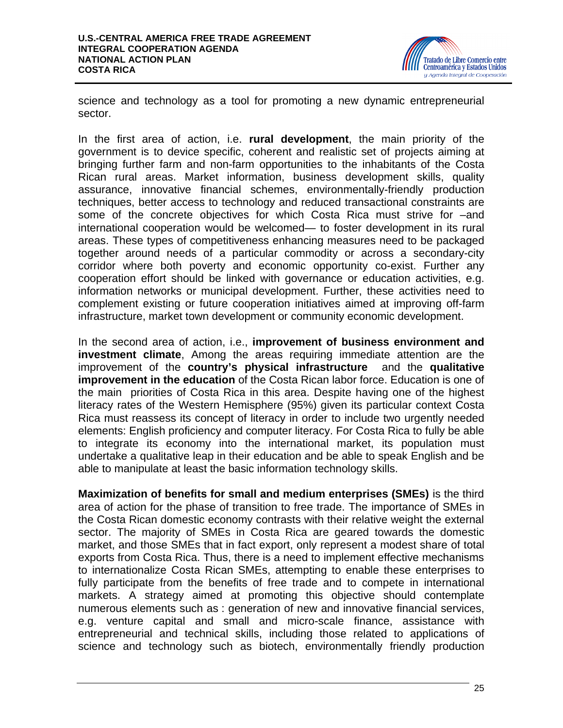

science and technology as a tool for promoting a new dynamic entrepreneurial sector.

In the first area of action, i.e. **rural development**, the main priority of the government is to device specific, coherent and realistic set of projects aiming at bringing further farm and non-farm opportunities to the inhabitants of the Costa Rican rural areas. Market information, business development skills, quality assurance, innovative financial schemes, environmentally-friendly production techniques, better access to technology and reduced transactional constraints are some of the concrete objectives for which Costa Rica must strive for –and international cooperation would be welcomed— to foster development in its rural areas. These types of competitiveness enhancing measures need to be packaged together around needs of a particular commodity or across a secondary-city corridor where both poverty and economic opportunity co-exist. Further any cooperation effort should be linked with governance or education activities, e.g. information networks or municipal development. Further, these activities need to complement existing or future cooperation initiatives aimed at improving off-farm infrastructure, market town development or community economic development.

In the second area of action, i.e., **improvement of business environment and investment climate**, Among the areas requiring immediate attention are the improvement of the **country's physical infrastructure** and the **qualitative improvement in the education** of the Costa Rican labor force. Education is one of the main priorities of Costa Rica in this area. Despite having one of the highest literacy rates of the Western Hemisphere (95%) given its particular context Costa Rica must reassess its concept of literacy in order to include two urgently needed elements: English proficiency and computer literacy. For Costa Rica to fully be able to integrate its economy into the international market, its population must undertake a qualitative leap in their education and be able to speak English and be able to manipulate at least the basic information technology skills.

**Maximization of benefits for small and medium enterprises (SMEs)** is the third area of action for the phase of transition to free trade. The importance of SMEs in the Costa Rican domestic economy contrasts with their relative weight the external sector. The majority of SMEs in Costa Rica are geared towards the domestic market, and those SMEs that in fact export, only represent a modest share of total exports from Costa Rica. Thus, there is a need to implement effective mechanisms to internationalize Costa Rican SMEs, attempting to enable these enterprises to fully participate from the benefits of free trade and to compete in international markets. A strategy aimed at promoting this objective should contemplate numerous elements such as : generation of new and innovative financial services, e.g. venture capital and small and micro-scale finance, assistance with entrepreneurial and technical skills, including those related to applications of science and technology such as biotech, environmentally friendly production